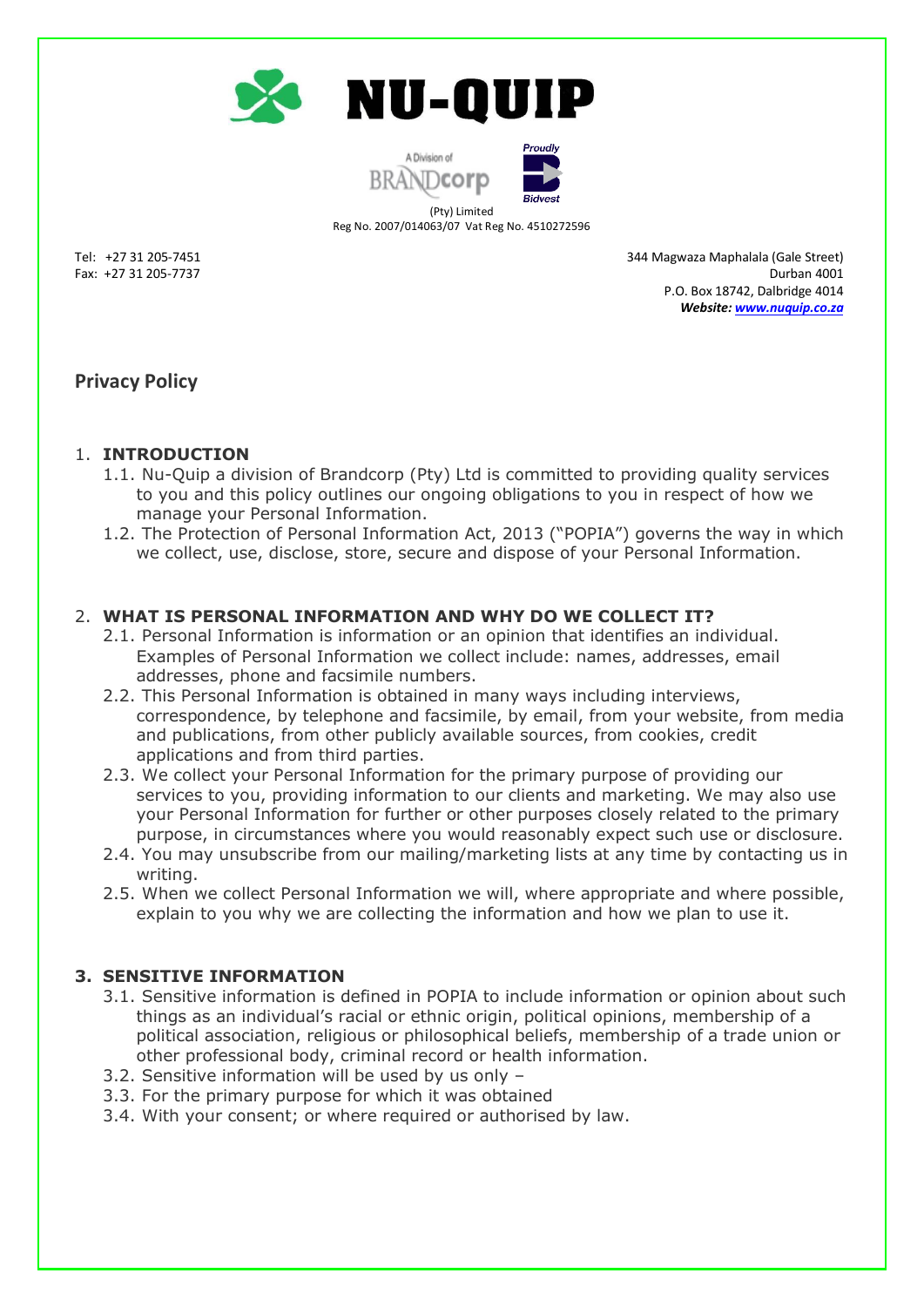

A Division of<br> **NDCOIP** 



Reg No. 2007/014063/07 Vat Reg No. 4510272596

Tel: +27 31 205-7451 344 Magwaza Maphalala (Gale Street) Fax: +27 31 205-7737 Durban 4001 P.O. Box 18742, Dalbridge 4014 *Website: [www.nuquip.co.za](http://www.nuquip.co.za/)*

# **Privacy Policy**

## 1. **INTRODUCTION**

- 1.1. Nu-Quip a division of Brandcorp (Pty) Ltd is committed to providing quality services to you and this policy outlines our ongoing obligations to you in respect of how we manage your Personal Information.
- 1.2. The Protection of Personal Information Act, 2013 ("POPIA") governs the way in which we collect, use, disclose, store, secure and dispose of your Personal Information.

## 2. **WHAT IS PERSONAL INFORMATION AND WHY DO WE COLLECT IT?**

- 2.1. Personal Information is information or an opinion that identifies an individual. Examples of Personal Information we collect include: names, addresses, email addresses, phone and facsimile numbers.
- 2.2. This Personal Information is obtained in many ways including interviews, correspondence, by telephone and facsimile, by email, from your website, from media and publications, from other publicly available sources, from cookies, credit applications and from third parties.
- 2.3. We collect your Personal Information for the primary purpose of providing our services to you, providing information to our clients and marketing. We may also use your Personal Information for further or other purposes closely related to the primary purpose, in circumstances where you would reasonably expect such use or disclosure.
- 2.4. You may unsubscribe from our mailing/marketing lists at any time by contacting us in writing.
- 2.5. When we collect Personal Information we will, where appropriate and where possible, explain to you why we are collecting the information and how we plan to use it.

### **3. SENSITIVE INFORMATION**

- 3.1. Sensitive information is defined in POPIA to include information or opinion about such things as an individual's racial or ethnic origin, political opinions, membership of a political association, religious or philosophical beliefs, membership of a trade union or other professional body, criminal record or health information.
- 3.2. Sensitive information will be used by us only –
- 3.3. For the primary purpose for which it was obtained
- 3.4. With your consent; or where required or authorised by law.